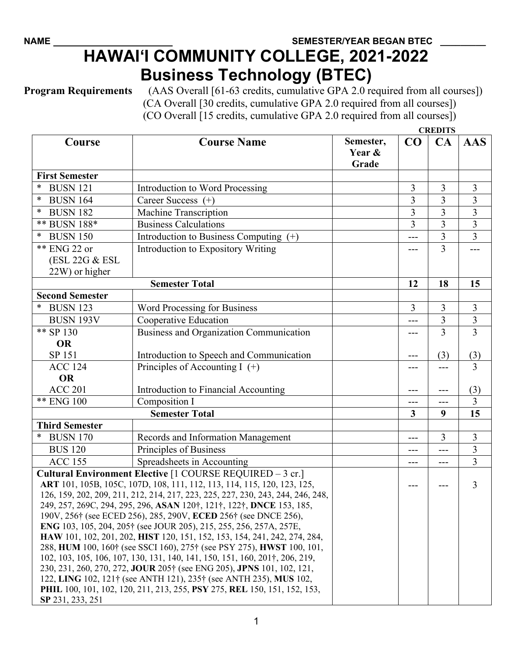## **HAWAI'I COMMUNITY COLLEGE, 2021-2022 Business Technology (BTEC)**

**Program Requirements** (AAS Overall [61-63 credits, cumulative GPA 2.0 required from all courses]) (CA Overall [30 credits, cumulative GPA 2.0 required from all courses]) (CO Overall [15 credits, cumulative GPA 2.0 required from all courses])

**CREDITS**

| Course                                                                                                                                               | <b>Course Name</b>                       | Semester,       | $\bf CO$       | <b>CIALDITO</b><br>CA | <b>AAS</b>     |
|------------------------------------------------------------------------------------------------------------------------------------------------------|------------------------------------------|-----------------|----------------|-----------------------|----------------|
|                                                                                                                                                      |                                          | Year &<br>Grade |                |                       |                |
| <b>First Semester</b>                                                                                                                                |                                          |                 |                |                       |                |
| <b>BUSN 121</b>                                                                                                                                      | <b>Introduction to Word Processing</b>   |                 | 3              | 3                     | $\overline{3}$ |
| $\ast$<br><b>BUSN 164</b>                                                                                                                            | Career Success $(+)$                     |                 | 3              | 3                     | $\overline{3}$ |
| ∗<br><b>BUSN 182</b>                                                                                                                                 | <b>Machine Transcription</b>             |                 | $\overline{3}$ | 3                     | $\overline{3}$ |
| ** BUSN 188*                                                                                                                                         | <b>Business Calculations</b>             |                 | 3              | 3                     | 3              |
| *<br><b>BUSN 150</b>                                                                                                                                 | Introduction to Business Computing $(+)$ |                 | ---            | 3                     | $\overline{3}$ |
| ** ENG 22 or                                                                                                                                         | Introduction to Expository Writing       |                 |                | 3                     |                |
| (ESL 22G & ESL                                                                                                                                       |                                          |                 |                |                       |                |
| 22W) or higher                                                                                                                                       |                                          |                 |                |                       |                |
| <b>Semester Total</b>                                                                                                                                |                                          |                 | 12             | 18                    | 15             |
| <b>Second Semester</b>                                                                                                                               |                                          |                 |                |                       |                |
| <b>BUSN 123</b>                                                                                                                                      | Word Processing for Business             |                 | 3              | 3                     | 3              |
| <b>BUSN 193V</b>                                                                                                                                     | Cooperative Education                    |                 | ---            | $\overline{3}$        | $\overline{3}$ |
| ** SP 130                                                                                                                                            | Business and Organization Communication  |                 | ---            | 3                     | $\overline{3}$ |
| <b>OR</b>                                                                                                                                            |                                          |                 |                |                       |                |
| SP 151                                                                                                                                               | Introduction to Speech and Communication |                 | ---            | (3)                   | (3)            |
| <b>ACC 124</b>                                                                                                                                       | Principles of Accounting I $(+)$         |                 | ---            | ---                   | 3              |
| <b>OR</b>                                                                                                                                            |                                          |                 |                |                       |                |
| <b>ACC 201</b>                                                                                                                                       | Introduction to Financial Accounting     |                 | ---            |                       | (3)            |
| ** ENG 100                                                                                                                                           | Composition I                            |                 | $---$          | $---$                 | 3              |
| <b>Semester Total</b>                                                                                                                                |                                          |                 | 3              | 9                     | 15             |
| <b>Third Semester</b>                                                                                                                                |                                          |                 |                |                       |                |
| <b>BUSN 170</b>                                                                                                                                      | Records and Information Management       |                 | $---$          | 3                     | $\overline{3}$ |
| <b>BUS 120</b>                                                                                                                                       | Principles of Business                   |                 | ---            | ---                   | 3              |
| <b>ACC 155</b>                                                                                                                                       | Spreadsheets in Accounting               |                 | $---$          | $---$                 | $\overline{3}$ |
| Cultural Environment Elective [1 COURSE REQUIRED - 3 cr.]<br>ART 101, 105B, 105C, 107D, 108, 111, 112, 113, 114, 115, 120, 123, 125,                 |                                          |                 |                |                       |                |
| 126, 159, 202, 209, 211, 212, 214, 217, 223, 225, 227, 230, 243, 244, 246, 248,                                                                      |                                          |                 |                | 3                     |                |
| 249, 257, 269C, 294, 295, 296, ASAN 120 <sup>†</sup> , 121 <sup>†</sup> , 122 <sup>†</sup> , DNCE 153, 185,                                          |                                          |                 |                |                       |                |
| 190V, 256† (see ECED 256), 285, 290V, ECED 256† (see DNCE 256),                                                                                      |                                          |                 |                |                       |                |
| ENG 103, 105, 204, 205† (see JOUR 205), 215, 255, 256, 257A, 257E,                                                                                   |                                          |                 |                |                       |                |
| HAW 101, 102, 201, 202, HIST 120, 151, 152, 153, 154, 241, 242, 274, 284,                                                                            |                                          |                 |                |                       |                |
| 288, HUM 100, 160† (see SSCI 160), 275† (see PSY 275), HWST 100, 101,<br>102, 103, 105, 106, 107, 130, 131, 140, 141, 150, 151, 160, 201†, 206, 219, |                                          |                 |                |                       |                |
|                                                                                                                                                      |                                          |                 |                |                       |                |
| 230, 231, 260, 270, 272, JOUR 205† (see ENG 205), JPNS 101, 102, 121,                                                                                |                                          |                 |                |                       |                |
| 122, LING 102, 121† (see ANTH 121), 235† (see ANTH 235), MUS 102,<br>PHIL 100, 101, 102, 120, 211, 213, 255, PSY 275, REL 150, 151, 152, 153,        |                                          |                 |                |                       |                |
| SP 231, 233, 251                                                                                                                                     |                                          |                 |                |                       |                |